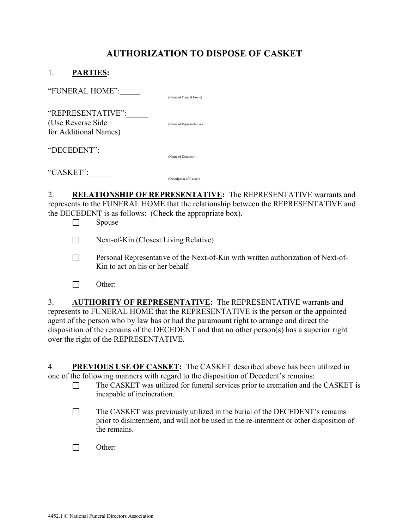# AUTHORIZATION TO DISPOSE OF CASKET

| <b>PARTIES:</b>                                                  |                          |
|------------------------------------------------------------------|--------------------------|
| "FUNERAL HOME":                                                  | (Name of Funeral Home)   |
| "REPRESENTATIVE":<br>(Use Reverse Side)<br>for Additional Names) | (Name of Representative) |
| "DECEDENT":                                                      | (Name of Decedent)       |
| "CASKET":                                                        | (Description of Casket)  |

2. RELATIONSHIP OF REPRESENTATIVE: The REPRESENTATIVE warrants and represents to the FUNERAL HOME that the relationship between the REPRESENTATIVE and the DECEDENT is as follows: (Check the appropriate box).

- $\Box$  Spouse
- Next-of-Kin (Closest Living Relative)
- $\Box$  Personal Representative of the Next-of-Kin with written authorization of Next-of-Kin to act on his or her behalf.
- $\Box$  Other:

3. AUTHORITY OF REPRESENTATIVE: The REPRESENTATIVE warrants and represents to FUNERAL HOME that the REPRESENTATIVE is the person or the appointed agent of the person who by law has or had the paramount right to arrange and direct the disposition of the remains of the DECEDENT and that no other person(s) has a superior right over the right of the REPRESENTATIVE.

4. PREVIOUS USE OF CASKET: The CASKET described above has been utilized in one of the following manners with regard to the disposition of Decedent's remains:

- $\Box$  The CASKET was utilized for funeral services prior to cremation and the CASKET is incapable of incineration.
- $\Box$  The CASKET was previously utilized in the burial of the DECEDENT's remains prior to disinterment, and will not be used in the re-interment or other disposition of the remains.
- $\Box$  Other: